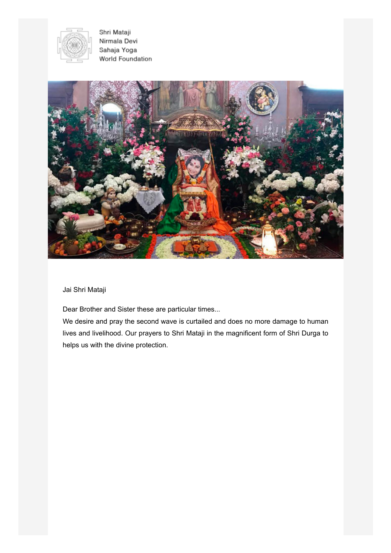

Shri Mataji Nirmala Devi Sahaja Yoga World Foundation



Jai Shri Mataji

Dear Brother and Sister these are particular times...

We desire and pray the second wave is curtailed and does no more damage to human lives and livelihood. Our prayers to Shri Mataji in the magnificent form of Shri Durga to helps us with the divine protection.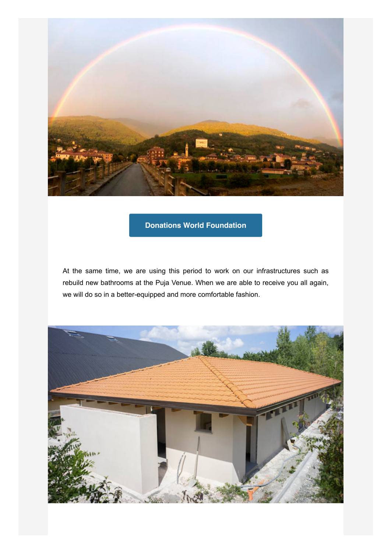

## **[Donations World Foundation](https://www.paypal.com/cgi-bin/webscr?cmd=_s-xclick&hosted_button_id=5DNN8DK7TFUGG&source=url)**

At the same time, we are using this period to work on our infrastructures such as rebuild new bathrooms at the Puja Venue. When we are able to receive you all again, we will do so in a better-equipped and more comfortable fashion.

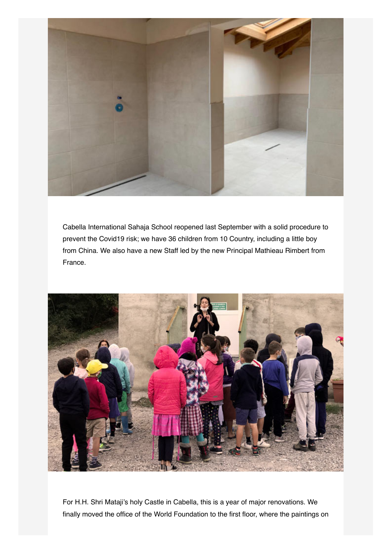

Cabella International Sahaja School reopened last September with a solid procedure to prevent the Covid19 risk; we have 36 children from 10 Country, including a little boy from China. We also have a new Staff led by the new Principal Mathieau Rimbert from France.



For H.H. Shri Mataji's holy Castle in Cabella, this is a year of major renovations. We finally moved the office of the World Foundation to the first floor, where the paintings on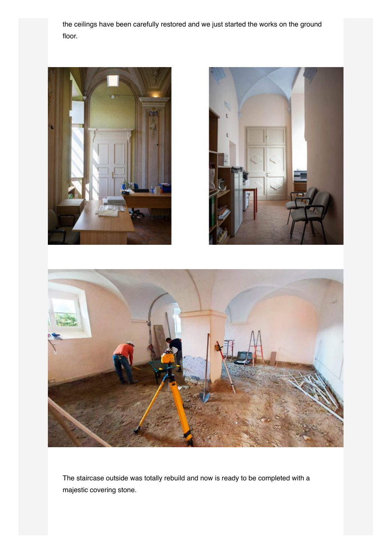the ceilings have been carefully restored and we just started the works on the ground floor.







The staircase outside was totally rebuild and now is ready to be completed with a majestic covering stone.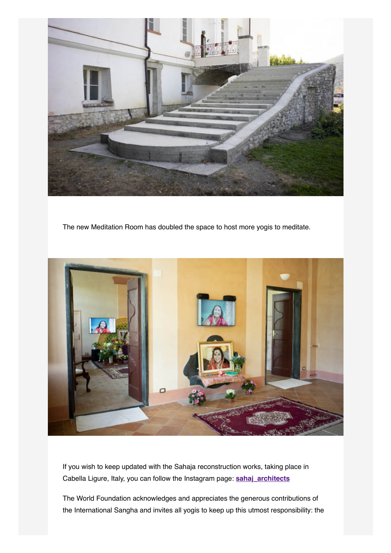

The new Meditation Room has doubled the space to host more yogis to meditate.



If you wish to keep updated with the Sahaja reconstruction works, taking place in Cabella Ligure, Italy, you can follow the Instagram page: **[sahaj\\_architects](https://www.instagram.com/sahaj_architects/)**

The World Foundation acknowledges and appreciates the generous contributions of the International Sangha and invites all yogis to keep up this utmost responsibility: the